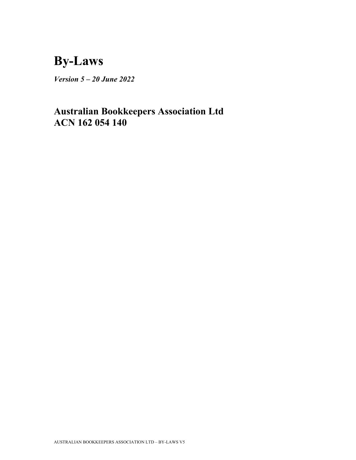# **By-Laws**

*Version 5 – 20 June 2022*

## **Australian Bookkeepers Association Ltd ACN 162 054 140**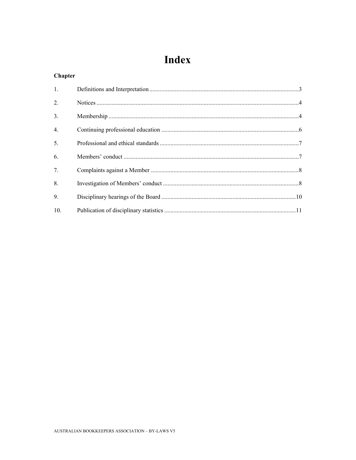## Index

## **Chapter**

| 1.               |  |
|------------------|--|
| $\overline{2}$ . |  |
| 3.               |  |
| 4.               |  |
| 5.               |  |
| 6.               |  |
| 7.               |  |
| 8.               |  |
| 9.               |  |
| 10.              |  |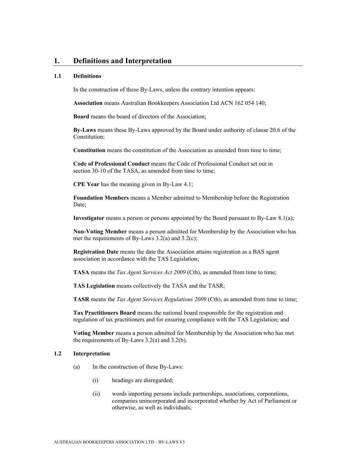## **1. Definitions and Interpretation**

#### **1.1 Definitions**

In the construction of these By-Laws, unless the contrary intention appears:

**Association** means Australian Bookkeepers Association Ltd ACN 162 054 140;

**Board** means the board of directors of the Association;

**By-Laws** means these By-Laws approved by the Board under authority of clause 20.6 of the Constitution;

**Constitution** means the constitution of the Association as amended from time to time;

**Code of Professional Conduct** means the Code of Professional Conduct set out in section 30-10 of the TASA, as amended from time to time:

**CPE Year** has the meaning given in By-Law 4.1;

**Foundation Members** means a Member admitted to Membership before the Registration Date;

**Investigator** means a person or persons appointed by the Board pursuant to By-Law 8.1(a);

**Non-Voting Member** means a person admitted for Membership by the Association who has met the requirements of By-Laws 3.2(a) and 3.2(c);

**Registration Date** means the date the Association attains registration as a BAS agent association in accordance with the TAS Legislation;

**TASA** means the *Tax Agent Services Act 2009* (Cth), as amended from time to time;

**TAS Legislation** means collectively the TASA and the TASR;

**TASR** means the *Tax Agent Services Regulations 2009* (Cth), as amended from time to time;

**Tax Practitioners Board** means the national board responsible for the registration and regulation of tax practitioners and for ensuring compliance with the TAS Legislation; and

**Voting Member** means a person admitted for Membership by the Association who has met the requirements of By-Laws 3.2(a) and 3.2(b).

#### **1.2 Interpretation**

- (a) In the construction of these By-Laws:
	- (i) headings are disregarded;
	- (ii) words importing persons include partnerships, associations, corporations, companies unincorporated and incorporated whether by Act of Parliament or otherwise, as well as individuals;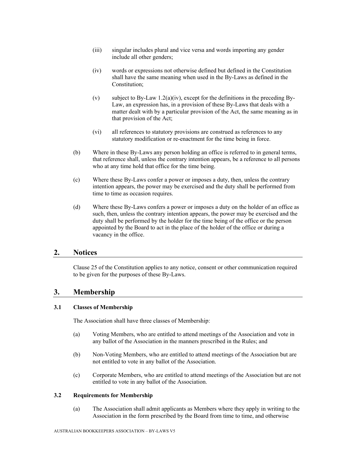- (iii) singular includes plural and vice versa and words importing any gender include all other genders;
- (iv) words or expressions not otherwise defined but defined in the Constitution shall have the same meaning when used in the By-Laws as defined in the Constitution;
- (v) subject to By-Law 1.2(a)(iv), except for the definitions in the preceding By-Law, an expression has, in a provision of these By-Laws that deals with a matter dealt with by a particular provision of the Act, the same meaning as in that provision of the Act;
- (vi) all references to statutory provisions are construed as references to any statutory modification or re-enactment for the time being in force.
- (b) Where in these By-Laws any person holding an office is referred to in general terms, that reference shall, unless the contrary intention appears, be a reference to all persons who at any time hold that office for the time being.
- (c) Where these By-Laws confer a power or imposes a duty, then, unless the contrary intention appears, the power may be exercised and the duty shall be performed from time to time as occasion requires.
- (d) Where these By-Laws confers a power or imposes a duty on the holder of an office as such, then, unless the contrary intention appears, the power may be exercised and the duty shall be performed by the holder for the time being of the office or the person appointed by the Board to act in the place of the holder of the office or during a vacancy in the office.

## **2. Notices**

Clause 25 of the Constitution applies to any notice, consent or other communication required to be given for the purposes of these By-Laws.

## **3. Membership**

## **3.1 Classes of Membership**

The Association shall have three classes of Membership:

- (a) Voting Members, who are entitled to attend meetings of the Association and vote in any ballot of the Association in the manners prescribed in the Rules; and
- (b) Non-Voting Members, who are entitled to attend meetings of the Association but are not entitled to vote in any ballot of the Association.
- (c) Corporate Members, who are entitled to attend meetings of the Association but are not entitled to vote in any ballot of the Association.

## **3.2 Requirements for Membership**

(a) The Association shall admit applicants as Members where they apply in writing to the Association in the form prescribed by the Board from time to time, and otherwise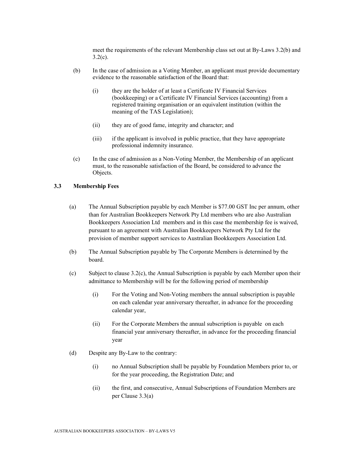meet the requirements of the relevant Membership class set out at By-Laws 3.2(b) and  $3.2(c)$ .

- (b) In the case of admission as a Voting Member, an applicant must provide documentary evidence to the reasonable satisfaction of the Board that:
	- (i) they are the holder of at least a Certificate IV Financial Services (bookkeeping) or a Certificate IV Financial Services (accounting) from a registered training organisation or an equivalent institution (within the meaning of the TAS Legislation);
	- (ii) they are of good fame, integrity and character; and
	- (iii) if the applicant is involved in public practice, that they have appropriate professional indemnity insurance.
- (c) In the case of admission as a Non-Voting Member, the Membership of an applicant must, to the reasonable satisfaction of the Board, be considered to advance the Objects.

## **3.3 Membership Fees**

- (a) The Annual Subscription payable by each Member is \$77.00 GST Inc per annum, other than for Australian Bookkeepers Network Pty Ltd members who are also Australian Bookkeepers Association Ltd members and in this case the membership fee is waived, pursuant to an agreement with Australian Bookkeepers Network Pty Ltd for the provision of member support services to Australian Bookkeepers Association Ltd.
- (b) The Annual Subscription payable by The Corporate Members is determined by the board.
- (c) Subject to clause 3.2(c), the Annual Subscription is payable by each Member upon their admittance to Membership will be for the following period of membership
	- (i) For the Voting and Non-Voting members the annual subscription is payable on each calendar year anniversary thereafter, in advance for the proceeding calendar year,
	- (ii) For the Corporate Members the annual subscription is payable on each financial year anniversary thereafter, in advance for the proceeding financial year
- (d) Despite any By-Law to the contrary:
	- (i) no Annual Subscription shall be payable by Foundation Members prior to, or for the year proceeding, the Registration Date; and
	- (ii) the first, and consecutive, Annual Subscriptions of Foundation Members are per Clause 3.3(a)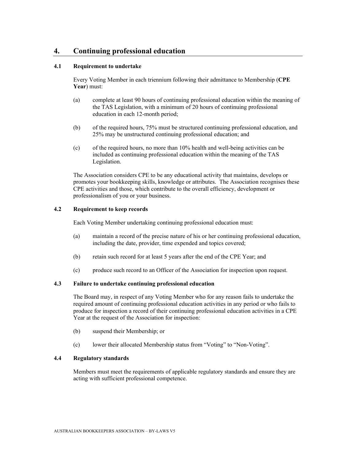## **4. Continuing professional education**

### **4.1 Requirement to undertake**

Every Voting Member in each triennium following their admittance to Membership (**CPE Year**) must:

- (a) complete at least 90 hours of continuing professional education within the meaning of the TAS Legislation, with a minimum of 20 hours of continuing professional education in each 12-month period;
- (b) of the required hours, 75% must be structured continuing professional education, and 25% may be unstructured continuing professional education; and
- (c) of the required hours, no more than 10% health and well-being activities can be included as continuing professional education within the meaning of the TAS Legislation.

The Association considers CPE to be any educational activity that maintains, develops or promotes your bookkeeping skills, knowledge or attributes. The Association recognises these CPE activities and those, which contribute to the overall efficiency, development or professionalism of you or your business.

## **4.2 Requirement to keep records**

Each Voting Member undertaking continuing professional education must:

- (a) maintain a record of the precise nature of his or her continuing professional education, including the date, provider, time expended and topics covered;
- (b) retain such record for at least 5 years after the end of the CPE Year; and
- (c) produce such record to an Officer of the Association for inspection upon request.

### **4.3 Failure to undertake continuing professional education**

The Board may, in respect of any Voting Member who for any reason fails to undertake the required amount of continuing professional education activities in any period or who fails to produce for inspection a record of their continuing professional education activities in a CPE Year at the request of the Association for inspection:

- (b) suspend their Membership; or
- (c) lower their allocated Membership status from "Voting" to "Non-Voting".

## **4.4 Regulatory standards**

Members must meet the requirements of applicable regulatory standards and ensure they are acting with sufficient professional competence.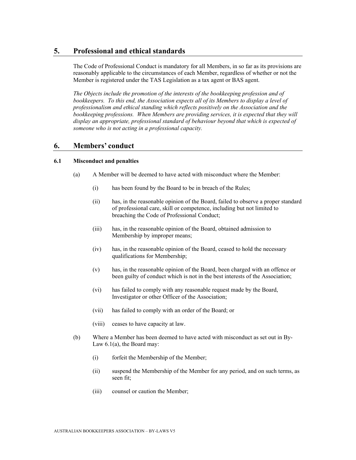## **5. Professional and ethical standards**

The Code of Professional Conduct is mandatory for all Members, in so far as its provisions are reasonably applicable to the circumstances of each Member, regardless of whether or not the Member is registered under the TAS Legislation as a tax agent or BAS agent.

*The Objects include the promotion of the interests of the bookkeeping profession and of*  bookkeepers. To this end, the Association expects all of its Members to display a level of *professionalism and ethical standing which reflects positively on the Association and the*  bookkeeping professions. When Members are providing services, it is expected that they will *display an appropriate, professional standard of behaviour beyond that which is expected of someone who is not acting in a professional capacity.* 

## **6. Members' conduct**

### **6.1 Misconduct and penalties**

- (a) A Member will be deemed to have acted with misconduct where the Member:
	- (i) has been found by the Board to be in breach of the Rules;
	- (ii) has, in the reasonable opinion of the Board, failed to observe a proper standard of professional care, skill or competence, including but not limited to breaching the Code of Professional Conduct;
	- (iii) has, in the reasonable opinion of the Board, obtained admission to Membership by improper means;
	- (iv) has, in the reasonable opinion of the Board, ceased to hold the necessary qualifications for Membership;
	- (v) has, in the reasonable opinion of the Board, been charged with an offence or been guilty of conduct which is not in the best interests of the Association;
	- (vi) has failed to comply with any reasonable request made by the Board, Investigator or other Officer of the Association;
	- (vii) has failed to comply with an order of the Board; or
	- (viii) ceases to have capacity at law.
- (b) Where a Member has been deemed to have acted with misconduct as set out in By-Law 6.1(a), the Board may:
	- (i) forfeit the Membership of the Member;
	- (ii) suspend the Membership of the Member for any period, and on such terms, as seen fit;
	- (iii) counsel or caution the Member;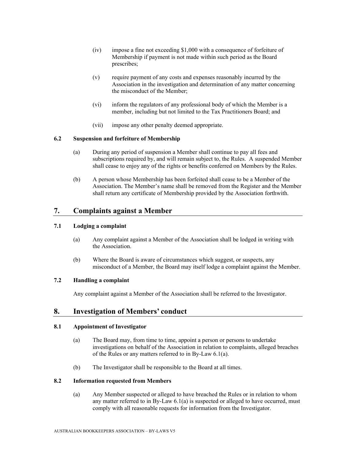- (iv) impose a fine not exceeding \$1,000 with a consequence of forfeiture of Membership if payment is not made within such period as the Board prescribes;
- (v) require payment of any costs and expenses reasonably incurred by the Association in the investigation and determination of any matter concerning the misconduct of the Member;
- (vi) inform the regulators of any professional body of which the Member is a member, including but not limited to the Tax Practitioners Board; and
- (vii) impose any other penalty deemed appropriate.

### **6.2 Suspension and forfeiture of Membership**

- (a) During any period of suspension a Member shall continue to pay all fees and subscriptions required by, and will remain subject to, the Rules. A suspended Member shall cease to enjoy any of the rights or benefits conferred on Members by the Rules.
- (b) A person whose Membership has been forfeited shall cease to be a Member of the Association. The Member's name shall be removed from the Register and the Member shall return any certificate of Membership provided by the Association forthwith.

## **7. Complaints against a Member**

### **7.1 Lodging a complaint**

- (a) Any complaint against a Member of the Association shall be lodged in writing with the Association.
- (b) Where the Board is aware of circumstances which suggest, or suspects, any misconduct of a Member, the Board may itself lodge a complaint against the Member.

#### **7.2 Handling a complaint**

Any complaint against a Member of the Association shall be referred to the Investigator.

## **8. Investigation of Members' conduct**

### **8.1 Appointment of Investigator**

- (a) The Board may, from time to time, appoint a person or persons to undertake investigations on behalf of the Association in relation to complaints, alleged breaches of the Rules or any matters referred to in By-Law 6.1(a).
- (b) The Investigator shall be responsible to the Board at all times.

## **8.2 Information requested from Members**

(a) Any Member suspected or alleged to have breached the Rules or in relation to whom any matter referred to in By-Law 6.1(a) is suspected or alleged to have occurred, must comply with all reasonable requests for information from the Investigator.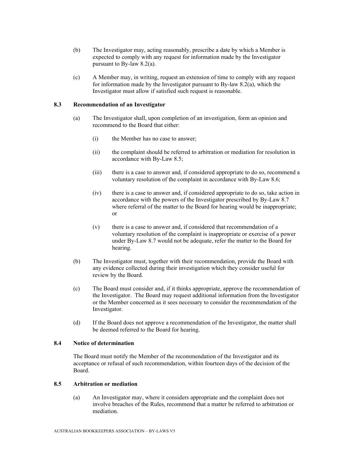- (b) The Investigator may, acting reasonably, prescribe a date by which a Member is expected to comply with any request for information made by the Investigator pursuant to By-law 8.2(a).
- (c) A Member may, in writing, request an extension of time to comply with any request for information made by the Investigator pursuant to By-law 8.2(a), which the Investigator must allow if satisfied such request is reasonable.

## **8.3 Recommendation of an Investigator**

- (a) The Investigator shall, upon completion of an investigation, form an opinion and recommend to the Board that either:
	- (i) the Member has no case to answer;
	- (ii) the complaint should be referred to arbitration or mediation for resolution in accordance with By-Law 8.5;
	- (iii) there is a case to answer and, if considered appropriate to do so, recommend a voluntary resolution of the complaint in accordance with By-Law 8.6;
	- (iv) there is a case to answer and, if considered appropriate to do so, take action in accordance with the powers of the Investigator prescribed by By-Law 8.7 where referral of the matter to the Board for hearing would be inappropriate; or
	- (v) there is a case to answer and, if considered that recommendation of a voluntary resolution of the complaint is inappropriate or exercise of a power under By-Law 8.7 would not be adequate, refer the matter to the Board for hearing.
- (b) The Investigator must, together with their recommendation, provide the Board with any evidence collected during their investigation which they consider useful for review by the Board.
- (c) The Board must consider and, if it thinks appropriate, approve the recommendation of the Investigator. The Board may request additional information from the Investigator or the Member concerned as it sees necessary to consider the recommendation of the Investigator.
- (d) If the Board does not approve a recommendation of the Investigator, the matter shall be deemed referred to the Board for hearing.

## **8.4 Notice of determination**

The Board must notify the Member of the recommendation of the Investigator and its acceptance or refusal of such recommendation, within fourteen days of the decision of the Board.

## **8.5 Arbitration or mediation**

(a) An Investigator may, where it considers appropriate and the complaint does not involve breaches of the Rules, recommend that a matter be referred to arbitration or mediation.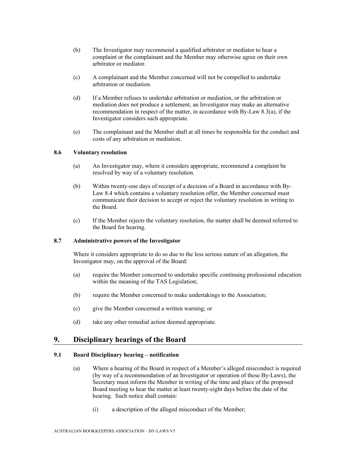- (b) The Investigator may recommend a qualified arbitrator or mediator to hear a complaint or the complainant and the Member may otherwise agree on their own arbitrator or mediator.
- (c) A complainant and the Member concerned will not be compelled to undertake arbitration or mediation.
- (d) If a Member refuses to undertake arbitration or mediation, or the arbitration or mediation does not produce a settlement, an Investigator may make an alternative recommendation in respect of the matter, in accordance with By-Law 8.3(a), if the Investigator considers such appropriate.
- (e) The complainant and the Member shall at all times be responsible for the conduct and costs of any arbitration or mediation.

## **8.6 Voluntary resolution**

- (a) An Investigator may, where it considers appropriate, recommend a complaint be resolved by way of a voluntary resolution.
- (b) Within twenty-one days of receipt of a decision of a Board in accordance with By-Law 8.4 which contains a voluntary resolution offer, the Member concerned must communicate their decision to accept or reject the voluntary resolution in writing to the Board.
- (c) If the Member rejects the voluntary resolution, the matter shall be deemed referred to the Board for hearing.

### **8.7 Administrative powers of the Investigator**

Where it considers appropriate to do so due to the less serious nature of an allegation, the Investigator may, on the approval of the Board:

- (a) require the Member concerned to undertake specific continuing professional education within the meaning of the TAS Legislation;
- (b) require the Member concerned to make undertakings to the Association;
- (c) give the Member concerned a written warning; or
- (d) take any other remedial action deemed appropriate.

## **9. Disciplinary hearings of the Board**

## **9.1 Board Disciplinary hearing – notification**

- (a) Where a hearing of the Board in respect of a Member's alleged misconduct is required (by way of a recommendation of an Investigator or operation of these By-Laws), the Secretary must inform the Member in writing of the time and place of the proposed Board meeting to hear the matter at least twenty-eight days before the date of the hearing. Such notice shall contain:
	- (i) a description of the alleged misconduct of the Member;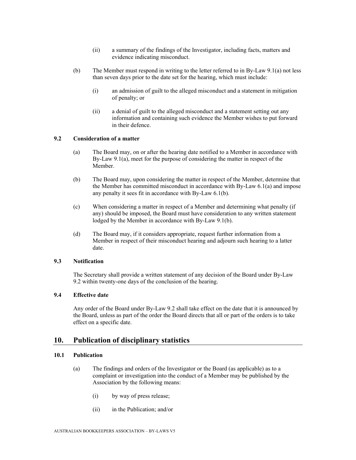- (ii) a summary of the findings of the Investigator, including facts, matters and evidence indicating misconduct.
- (b) The Member must respond in writing to the letter referred to in By-Law 9.1(a) not less than seven days prior to the date set for the hearing, which must include:
	- (i) an admission of guilt to the alleged misconduct and a statement in mitigation of penalty; or
	- (ii) a denial of guilt to the alleged misconduct and a statement setting out any information and containing such evidence the Member wishes to put forward in their defence.

## **9.2 Consideration of a matter**

- (a) The Board may, on or after the hearing date notified to a Member in accordance with By-Law 9.1(a), meet for the purpose of considering the matter in respect of the Member.
- (b) The Board may, upon considering the matter in respect of the Member, determine that the Member has committed misconduct in accordance with By-Law 6.1(a) and impose any penalty it sees fit in accordance with By-Law 6.1(b).
- (c) When considering a matter in respect of a Member and determining what penalty (if any) should be imposed, the Board must have consideration to any written statement lodged by the Member in accordance with By-Law 9.1(b).
- (d) The Board may, if it considers appropriate, request further information from a Member in respect of their misconduct hearing and adjourn such hearing to a latter date.

#### **9.3 Notification**

The Secretary shall provide a written statement of any decision of the Board under By-Law 9.2 within twenty-one days of the conclusion of the hearing.

## **9.4 Effective date**

Any order of the Board under By-Law 9.2 shall take effect on the date that it is announced by the Board, unless as part of the order the Board directs that all or part of the orders is to take effect on a specific date.

## **10. Publication of disciplinary statistics**

## **10.1 Publication**

- (a) The findings and orders of the Investigator or the Board (as applicable) as to a complaint or investigation into the conduct of a Member may be published by the Association by the following means:
	- (i) by way of press release;
	- (ii) in the Publication; and/or